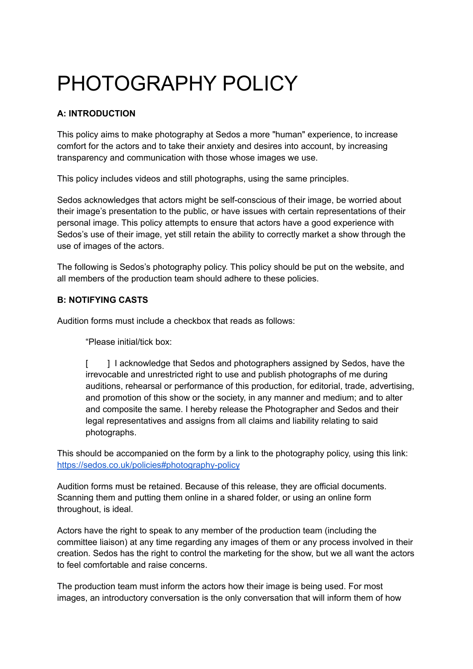# PHOTOGRAPHY POLICY

## **A: INTRODUCTION**

This policy aims to make photography at Sedos a more "human" experience, to increase comfort for the actors and to take their anxiety and desires into account, by increasing transparency and communication with those whose images we use.

This policy includes videos and still photographs, using the same principles.

Sedos acknowledges that actors might be self-conscious of their image, be worried about their image's presentation to the public, or have issues with certain representations of their personal image. This policy attempts to ensure that actors have a good experience with Sedos's use of their image, yet still retain the ability to correctly market a show through the use of images of the actors.

The following is Sedos's photography policy. This policy should be put on the website, and all members of the production team should adhere to these policies.

#### **B: NOTIFYING CASTS**

Audition forms must include a checkbox that reads as follows:

"Please initial/tick box:

[ ] I acknowledge that Sedos and photographers assigned by Sedos, have the irrevocable and unrestricted right to use and publish photographs of me during auditions, rehearsal or performance of this production, for editorial, trade, advertising, and promotion of this show or the society, in any manner and medium; and to alter and composite the same. I hereby release the Photographer and Sedos and their legal representatives and assigns from all claims and liability relating to said photographs.

This should be accompanied on the form by a link to the photography policy, using this link[:](https://sedos.co.uk/policies#photography-policy) <https://sedos.co.uk/policies#photography-policy>

Audition forms must be retained. Because of this release, they are official documents. Scanning them and putting them online in a shared folder, or using an online form throughout, is ideal.

Actors have the right to speak to any member of the production team (including the committee liaison) at any time regarding any images of them or any process involved in their creation. Sedos has the right to control the marketing for the show, but we all want the actors to feel comfortable and raise concerns.

The production team must inform the actors how their image is being used. For most images, an introductory conversation is the only conversation that will inform them of how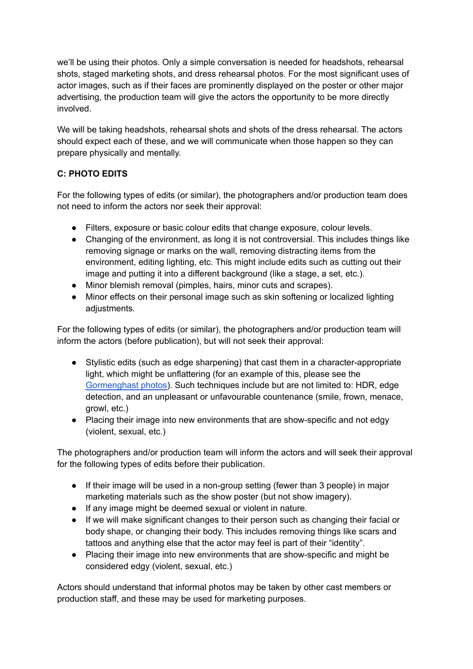we'll be using their photos. Only a simple conversation is needed for headshots, rehearsal shots, staged marketing shots, and dress rehearsal photos. For the most significant uses of actor images, such as if their faces are prominently displayed on the poster or other major advertising, the production team will give the actors the opportunity to be more directly involved.

We will be taking headshots, rehearsal shots and shots of the dress rehearsal. The actors should expect each of these, and we will communicate when those happen so they can prepare physically and mentally.

## **C: PHOTO EDITS**

For the following types of edits (or similar), the photographers and/or production team does not need to inform the actors nor seek their approval:

- Filters, exposure or basic colour edits that change exposure, colour levels.
- Changing of the environment, as long it is not controversial. This includes things like removing signage or marks on the wall, removing distracting items from the environment, editing lighting, etc. This might include edits such as cutting out their image and putting it into a different background (like a stage, a set, etc.).
- Minor blemish removal (pimples, hairs, minor cuts and scrapes).
- Minor effects on their personal image such as skin softening or localized lighting adjustments.

For the following types of edits (or similar), the photographers and/or production team will inform the actors (before publication), but will not seek their approval:

- Stylistic edits (such as edge sharpening) that cast them in a character-appropriate light, which might be unflattering (for an example of this, please see th[e](https://photos.app.goo.gl/DKAvzZXM7iUWHHri7) [Gormenghast](https://photos.app.goo.gl/DKAvzZXM7iUWHHri7) photos). Such techniques include but are not limited to: HDR, edge detection, and an unpleasant or unfavourable countenance (smile, frown, menace, growl, etc.)
- Placing their image into new environments that are show-specific and not edgy (violent, sexual, etc.)

The photographers and/or production team will inform the actors and will seek their approval for the following types of edits before their publication.

- If their image will be used in a non-group setting (fewer than 3 people) in major marketing materials such as the show poster (but not show imagery).
- If any image might be deemed sexual or violent in nature.
- If we will make significant changes to their person such as changing their facial or body shape, or changing their body. This includes removing things like scars and tattoos and anything else that the actor may feel is part of their "identity".
- Placing their image into new environments that are show-specific and might be considered edgy (violent, sexual, etc.)

Actors should understand that informal photos may be taken by other cast members or production staff, and these may be used for marketing purposes.